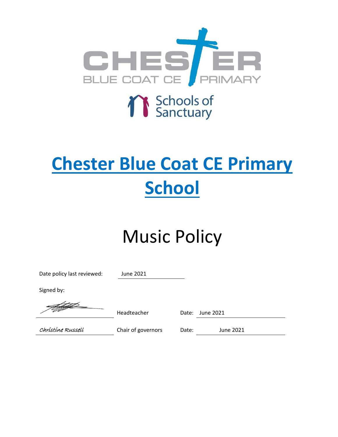

# *M* Schools of

## **Chester Blue Coat CE Primary School**

### Music Policy

Date policy last reviewed: June 2021

Signed by:

Headteacher Date: June 2021

Chrístíne Russell Chair of governors Date: June 2021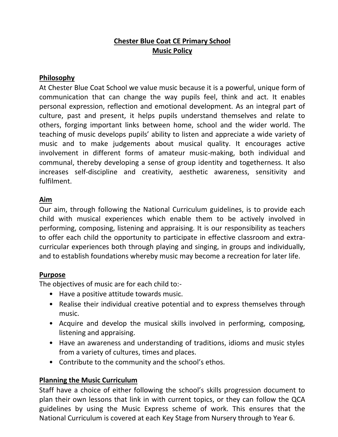#### **Chester Blue Coat CE Primary School Music Policy**

#### **Philosophy**

At Chester Blue Coat School we value music because it is a powerful, unique form of communication that can change the way pupils feel, think and act. It enables personal expression, reflection and emotional development. As an integral part of culture, past and present, it helps pupils understand themselves and relate to others, forging important links between home, school and the wider world. The teaching of music develops pupils' ability to listen and appreciate a wide variety of music and to make judgements about musical quality. It encourages active involvement in different forms of amateur music-making, both individual and communal, thereby developing a sense of group identity and togetherness. It also increases self-discipline and creativity, aesthetic awareness, sensitivity and fulfilment.

#### **Aim**

Our aim, through following the National Curriculum guidelines, is to provide each child with musical experiences which enable them to be actively involved in performing, composing, listening and appraising. It is our responsibility as teachers to offer each child the opportunity to participate in effective classroom and extracurricular experiences both through playing and singing, in groups and individually, and to establish foundations whereby music may become a recreation for later life.

#### **Purpose**

The objectives of music are for each child to:-

- Have a positive attitude towards music.
- Realise their individual creative potential and to express themselves through music.
- Acquire and develop the musical skills involved in performing, composing, listening and appraising.
- Have an awareness and understanding of traditions, idioms and music styles from a variety of cultures, times and places.
- Contribute to the community and the school's ethos.

#### **Planning the Music Curriculum**

Staff have a choice of either following the school's skills progression document to plan their own lessons that link in with current topics, or they can follow the QCA guidelines by using the Music Express scheme of work. This ensures that the National Curriculum is covered at each Key Stage from Nursery through to Year 6.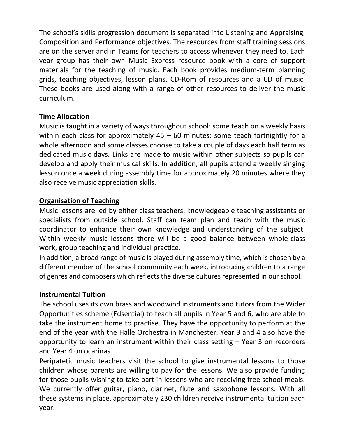The school's skills progression document is separated into Listening and Appraising, Composition and Performance objectives. The resources from staff training sessions are on the server and in Teams for teachers to access whenever they need to. Each year group has their own Music Express resource book with a core of support materials for the teaching of music. Each book provides medium-term planning grids, teaching objectives, lesson plans, CD-Rom of resources and a CD of music. These books are used along with a range of other resources to deliver the music curriculum.

#### **Time Allocation**

Music is taught in a variety of ways throughout school: some teach on a weekly basis within each class for approximately  $45 - 60$  minutes; some teach fortnightly for a whole afternoon and some classes choose to take a couple of days each half term as dedicated music days. Links are made to music within other subjects so pupils can develop and apply their musical skills. In addition, all pupils attend a weekly singing lesson once a week during assembly time for approximately 20 minutes where they also receive music appreciation skills.

#### **Organisation of Teaching**

Music lessons are led by either class teachers, knowledgeable teaching assistants or specialists from outside school. Staff can team plan and teach with the music coordinator to enhance their own knowledge and understanding of the subject. Within weekly music lessons there will be a good balance between whole-class work, group teaching and individual practice.

In addition, a broad range of music is played during assembly time, which is chosen by a different member of the school community each week, introducing children to a range of genres and composers which reflects the diverse cultures represented in our school.

#### **Instrumental Tuition**

The school uses its own brass and woodwind instruments and tutors from the Wider Opportunities scheme (Edsential) to teach all pupils in Year 5 and 6, who are able to take the instrument home to practise. They have the opportunity to perform at the end of the year with the Halle Orchestra in Manchester. Year 3 and 4 also have the opportunity to learn an instrument within their class setting – Year 3 on recorders and Year 4 on ocarinas.

Peripatetic music teachers visit the school to give instrumental lessons to those children whose parents are willing to pay for the lessons. We also provide funding for those pupils wishing to take part in lessons who are receiving free school meals. We currently offer guitar, piano, clarinet, flute and saxophone lessons. With all these systems in place, approximately 230 children receive instrumental tuition each year.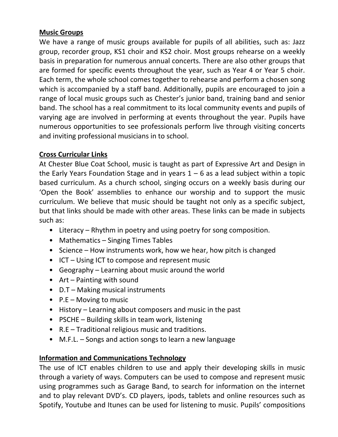#### **Music Groups**

We have a range of music groups available for pupils of all abilities, such as: Jazz group, recorder group, KS1 choir and KS2 choir. Most groups rehearse on a weekly basis in preparation for numerous annual concerts. There are also other groups that are formed for specific events throughout the year, such as Year 4 or Year 5 choir. Each term, the whole school comes together to rehearse and perform a chosen song which is accompanied by a staff band. Additionally, pupils are encouraged to join a range of local music groups such as Chester's junior band, training band and senior band. The school has a real commitment to its local community events and pupils of varying age are involved in performing at events throughout the year. Pupils have numerous opportunities to see professionals perform live through visiting concerts and inviting professional musicians in to school.

#### **Cross Curricular Links**

At Chester Blue Coat School, music is taught as part of Expressive Art and Design in the Early Years Foundation Stage and in years  $1 - 6$  as a lead subject within a topic based curriculum. As a church school, singing occurs on a weekly basis during our 'Open the Book' assemblies to enhance our worship and to support the music curriculum. We believe that music should be taught not only as a specific subject, but that links should be made with other areas. These links can be made in subjects such as:

- Literacy Rhythm in poetry and using poetry for song composition.
- Mathematics Singing Times Tables
- Science How instruments work, how we hear, how pitch is changed
- ICT Using ICT to compose and represent music
- Geography Learning about music around the world
- Art Painting with sound
- D.T Making musical instruments
- P.E Moving to music
- History Learning about composers and music in the past
- PSCHE Building skills in team work, listening
- R.E Traditional religious music and traditions.
- M.F.L. Songs and action songs to learn a new language

#### **Information and Communications Technology**

The use of ICT enables children to use and apply their developing skills in music through a variety of ways. Computers can be used to compose and represent music using programmes such as Garage Band, to search for information on the internet and to play relevant DVD's. CD players, ipods, tablets and online resources such as Spotify, Youtube and Itunes can be used for listening to music. Pupils' compositions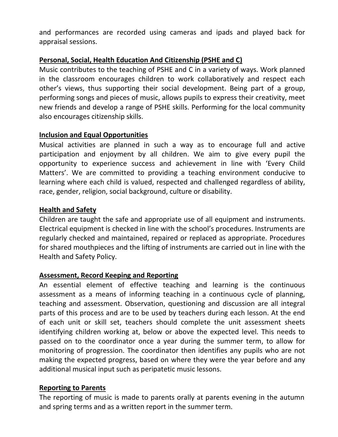and performances are recorded using cameras and ipads and played back for appraisal sessions.

#### **Personal, Social, Health Education And Citizenship (PSHE and C)**

Music contributes to the teaching of PSHE and C in a variety of ways. Work planned in the classroom encourages children to work collaboratively and respect each other's views, thus supporting their social development. Being part of a group, performing songs and pieces of music, allows pupils to express their creativity, meet new friends and develop a range of PSHE skills. Performing for the local community also encourages citizenship skills.

#### **Inclusion and Equal Opportunities**

Musical activities are planned in such a way as to encourage full and active participation and enjoyment by all children. We aim to give every pupil the opportunity to experience success and achievement in line with 'Every Child Matters'. We are committed to providing a teaching environment conducive to learning where each child is valued, respected and challenged regardless of ability, race, gender, religion, social background, culture or disability.

#### **Health and Safety**

Children are taught the safe and appropriate use of all equipment and instruments. Electrical equipment is checked in line with the school's procedures. Instruments are regularly checked and maintained, repaired or replaced as appropriate. Procedures for shared mouthpieces and the lifting of instruments are carried out in line with the Health and Safety Policy.

#### **Assessment, Record Keeping and Reporting**

An essential element of effective teaching and learning is the continuous assessment as a means of informing teaching in a continuous cycle of planning, teaching and assessment. Observation, questioning and discussion are all integral parts of this process and are to be used by teachers during each lesson. At the end of each unit or skill set, teachers should complete the unit assessment sheets identifying children working at, below or above the expected level. This needs to passed on to the coordinator once a year during the summer term, to allow for monitoring of progression. The coordinator then identifies any pupils who are not making the expected progress, based on where they were the year before and any additional musical input such as peripatetic music lessons.

#### **Reporting to Parents**

The reporting of music is made to parents orally at parents evening in the autumn and spring terms and as a written report in the summer term.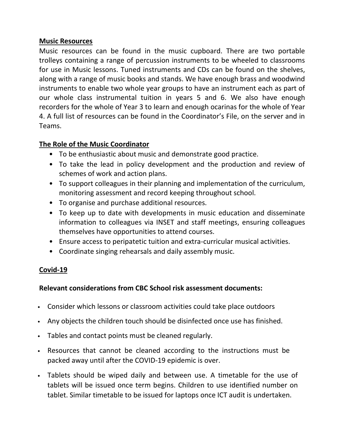#### **Music Resources**

Music resources can be found in the music cupboard. There are two portable trolleys containing a range of percussion instruments to be wheeled to classrooms for use in Music lessons. Tuned instruments and CDs can be found on the shelves, along with a range of music books and stands. We have enough brass and woodwind instruments to enable two whole year groups to have an instrument each as part of our whole class instrumental tuition in years 5 and 6. We also have enough recorders for the whole of Year 3 to learn and enough ocarinas for the whole of Year 4. A full list of resources can be found in the Coordinator's File, on the server and in Teams.

#### **The Role of the Music Coordinator**

- To be enthusiastic about music and demonstrate good practice.
- To take the lead in policy development and the production and review of schemes of work and action plans.
- To support colleagues in their planning and implementation of the curriculum, monitoring assessment and record keeping throughout school.
- To organise and purchase additional resources.
- To keep up to date with developments in music education and disseminate information to colleagues via INSET and staff meetings, ensuring colleagues themselves have opportunities to attend courses.
- Ensure access to peripatetic tuition and extra-curricular musical activities.
- Coordinate singing rehearsals and daily assembly music.

#### **Covid-19**

#### **Relevant considerations from CBC School risk assessment documents:**

- Consider which lessons or classroom activities could take place outdoors
- Any objects the children touch should be disinfected once use has finished.
- Tables and contact points must be cleaned regularly.
- Resources that cannot be cleaned according to the instructions must be packed away until after the COVID-19 epidemic is over.
- Tablets should be wiped daily and between use. A timetable for the use of tablets will be issued once term begins. Children to use identified number on tablet. Similar timetable to be issued for laptops once ICT audit is undertaken.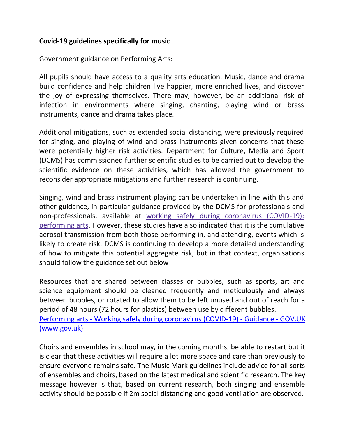#### **Covid-19 guidelines specifically for music**

Government guidance on Performing Arts:

All pupils should have access to a quality arts education. Music, dance and drama build confidence and help children live happier, more enriched lives, and discover the joy of expressing themselves. There may, however, be an additional risk of infection in environments where singing, chanting, playing wind or brass instruments, dance and drama takes place.

Additional mitigations, such as extended social distancing, were previously required for singing, and playing of wind and brass instruments given concerns that these were potentially higher risk activities. Department for Culture, Media and Sport (DCMS) has commissioned further scientific studies to be carried out to develop the scientific evidence on these activities, which has allowed the government to reconsider appropriate mitigations and further research is continuing.

Singing, wind and brass instrument playing can be undertaken in line with this and other guidance, in particular guidance provided by the DCMS for professionals and non-professionals, available at [working safely during coronavirus \(COVID-19\):](https://www.gov.uk/guidance/working-safely-during-coronavirus-covid-19/performing-arts) [performing arts.](https://www.gov.uk/guidance/working-safely-during-coronavirus-covid-19/performing-arts) However, these studies have also indicated that it is the cumulative aerosol transmission from both those performing in, and attending, events which is likely to create risk. DCMS is continuing to develop a more detailed understanding of how to mitigate this potential aggregate risk, but in that context, organisations should follow the guidance set out below

Resources that are shared between classes or bubbles, such as sports, art and science equipment should be cleaned frequently and meticulously and always between bubbles, or rotated to allow them to be left unused and out of reach for a period of 48 hours (72 hours for plastics) between use by different bubbles. Performing arts - [Working safely during coronavirus \(COVID-19\) -](https://www.gov.uk/guidance/working-safely-during-coronavirus-covid-19/performing-arts) Guidance - [GOV.UK](https://www.gov.uk/guidance/working-safely-during-coronavirus-covid-19/performing-arts)  [\(www.gov.uk\)](https://www.gov.uk/guidance/working-safely-during-coronavirus-covid-19/performing-arts)

Choirs and ensembles in school may, in the coming months, be able to restart but it is clear that these activities will require a lot more space and care than previously to ensure everyone remains safe. The Music Mark guidelines include advice for all sorts of ensembles and choirs, based on the latest medical and scientific research. The key message however is that, based on current research, both singing and ensemble activity should be possible if 2m social distancing and good ventilation are observed.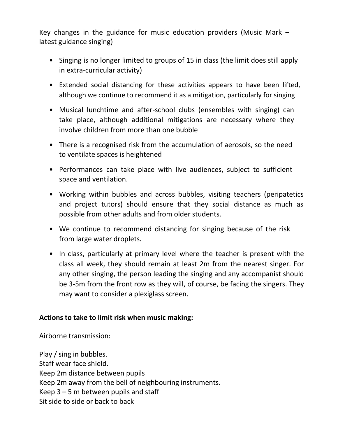Key changes in the guidance for music education providers (Music Mark  $$ latest guidance singing)

- Singing is no longer limited to groups of 15 in class (the limit does still apply in extra-curricular activity)
- Extended social distancing for these activities appears to have been lifted, although we continue to recommend it as a mitigation, particularly for singing
- Musical lunchtime and after-school clubs (ensembles with singing) can take place, although additional mitigations are necessary where they involve children from more than one bubble
- There is a recognised risk from the accumulation of aerosols, so the need to ventilate spaces is heightened
- Performances can take place with live audiences, subject to sufficient space and ventilation.
- Working within bubbles and across bubbles, visiting teachers (peripatetics and project tutors) should ensure that they social distance as much as possible from other adults and from older students.
- We continue to recommend distancing for singing because of the risk from large water droplets.
- In class, particularly at primary level where the teacher is present with the class all week, they should remain at least 2m from the nearest singer. For any other singing, the person leading the singing and any accompanist should be 3-5m from the front row as they will, of course, be facing the singers. They may want to consider a plexiglass screen.

#### **Actions to take to limit risk when music making:**

Airborne transmission:

Play / sing in bubbles. Staff wear face shield. Keep 2m distance between pupils Keep 2m away from the bell of neighbouring instruments. Keep  $3 - 5$  m between pupils and staff Sit side to side or back to back